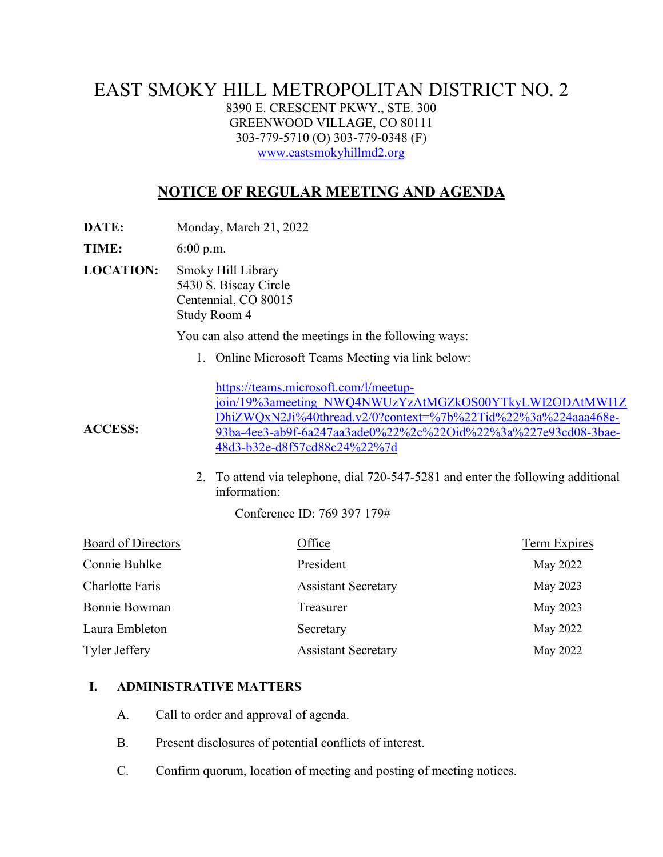## EAST SMOKY HILL METROPOLITAN DISTRICT NO. 2 8390 E. CRESCENT PKWY., STE. 300 GREENWOOD VILLAGE, CO 80111 303-779-5710 (O) 303-779-0348 (F) [www.eastsmokyhillmd2.org](http://www.eastsmokyhillmd2.org/)

# **NOTICE OF REGULAR MEETING AND AGENDA**

**DATE:** Monday, March 21, 2022

**TIME:** 6:00 p.m.

**LOCATION:** Smoky Hill Library 5430 S. Biscay Circle Centennial, CO 80015 Study Room 4

You can also attend the meetings in the following ways:

1. Online Microsoft Teams Meeting via link below:

[https://teams.microsoft.com/l/meetup](https://teams.microsoft.com/l/meetup-join/19%3ameeting_NWQ4NWUzYzAtMGZkOS00YTkyLWI2ODAtMWI1ZDhiZWQxN2Ji%40thread.v2/0?context=%7b%22Tid%22%3a%224aaa468e-93ba-4ee3-ab9f-6a247aa3ade0%22%2c%22Oid%22%3a%227e93cd08-3bae-48d3-b32e-d8f57cd88c24%22%7d)[join/19%3ameeting\\_NWQ4NWUzYzAtMGZkOS00YTkyLWI2ODAtMWI1Z](https://teams.microsoft.com/l/meetup-join/19%3ameeting_NWQ4NWUzYzAtMGZkOS00YTkyLWI2ODAtMWI1ZDhiZWQxN2Ji%40thread.v2/0?context=%7b%22Tid%22%3a%224aaa468e-93ba-4ee3-ab9f-6a247aa3ade0%22%2c%22Oid%22%3a%227e93cd08-3bae-48d3-b32e-d8f57cd88c24%22%7d) [DhiZWQxN2Ji%40thread.v2/0?context=%7b%22Tid%22%3a%224aaa468e-](https://teams.microsoft.com/l/meetup-join/19%3ameeting_NWQ4NWUzYzAtMGZkOS00YTkyLWI2ODAtMWI1ZDhiZWQxN2Ji%40thread.v2/0?context=%7b%22Tid%22%3a%224aaa468e-93ba-4ee3-ab9f-6a247aa3ade0%22%2c%22Oid%22%3a%227e93cd08-3bae-48d3-b32e-d8f57cd88c24%22%7d)[93ba-4ee3-ab9f-6a247aa3ade0%22%2c%22Oid%22%3a%227e93cd08-3bae-](https://teams.microsoft.com/l/meetup-join/19%3ameeting_NWQ4NWUzYzAtMGZkOS00YTkyLWI2ODAtMWI1ZDhiZWQxN2Ji%40thread.v2/0?context=%7b%22Tid%22%3a%224aaa468e-93ba-4ee3-ab9f-6a247aa3ade0%22%2c%22Oid%22%3a%227e93cd08-3bae-48d3-b32e-d8f57cd88c24%22%7d)[48d3-b32e-d8f57cd88c24%22%7d](https://teams.microsoft.com/l/meetup-join/19%3ameeting_NWQ4NWUzYzAtMGZkOS00YTkyLWI2ODAtMWI1ZDhiZWQxN2Ji%40thread.v2/0?context=%7b%22Tid%22%3a%224aaa468e-93ba-4ee3-ab9f-6a247aa3ade0%22%2c%22Oid%22%3a%227e93cd08-3bae-48d3-b32e-d8f57cd88c24%22%7d)

2. To attend via telephone, dial 720-547-5281 and enter the following additional information:

Conference ID: 769 397 179#

| Board of Directors | Office                     | Term Expires |
|--------------------|----------------------------|--------------|
| Connie Buhlke      | President                  | May 2022     |
| Charlotte Faris    | <b>Assistant Secretary</b> | May 2023     |
| Bonnie Bowman      | Treasurer                  | May 2023     |
| Laura Embleton     | Secretary                  | May 2022     |
| Tyler Jeffery      | <b>Assistant Secretary</b> | May 2022     |

#### **I. ADMINISTRATIVE MATTERS**

- A. Call to order and approval of agenda.
- B. Present disclosures of potential conflicts of interest.
- C. Confirm quorum, location of meeting and posting of meeting notices.

**ACCESS:**